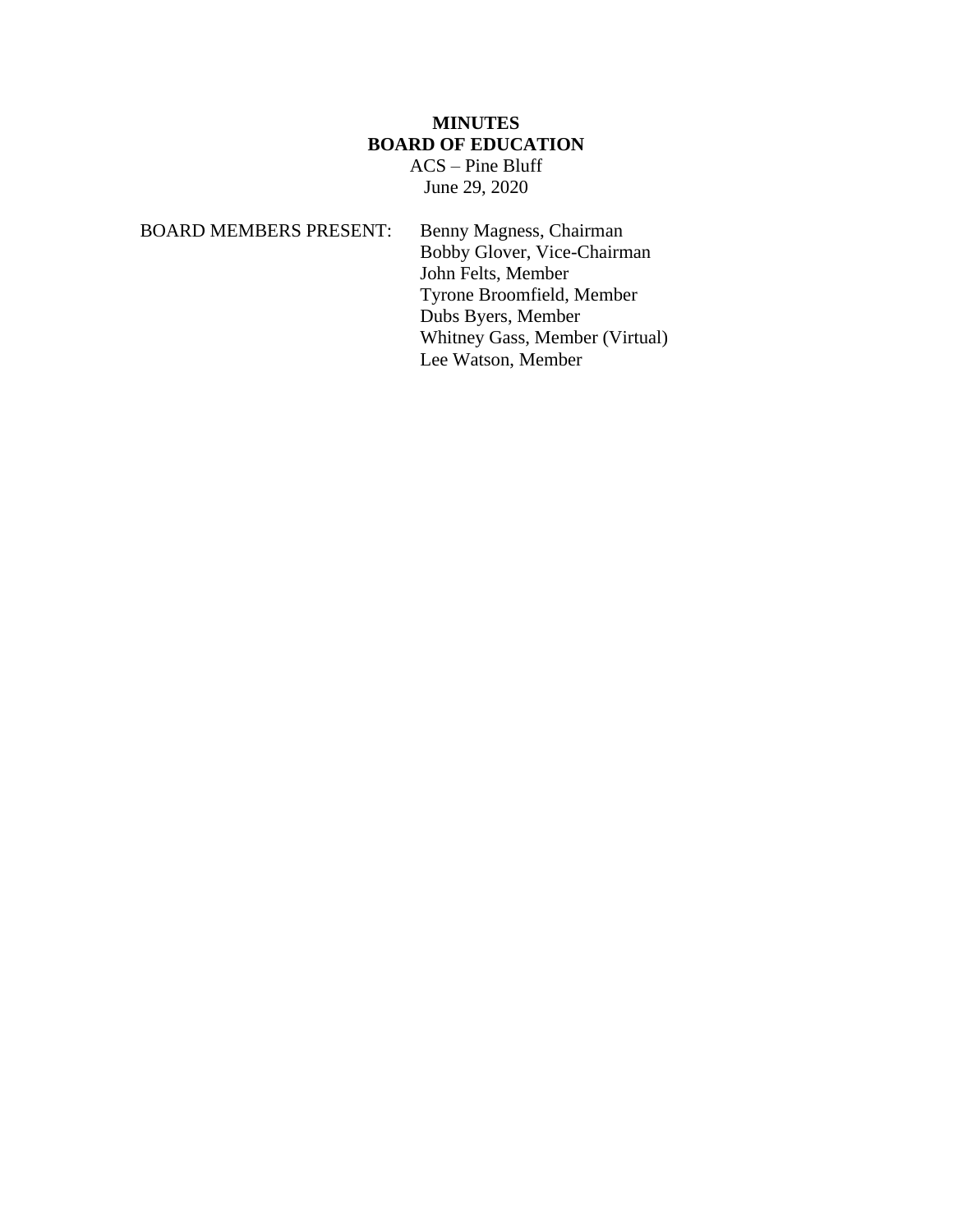# **MINUTES BOARD OF EDUCATION**

ACS – Pine Bluff June 29, 2020

BOARD MEMBERS PRESENT: Benny Magness, Chairman Bobby Glover, Vice-Chairman John Felts, Member Tyrone Broomfield, Member Dubs Byers, Member Whitney Gass, Member (Virtual) Lee Watson, Member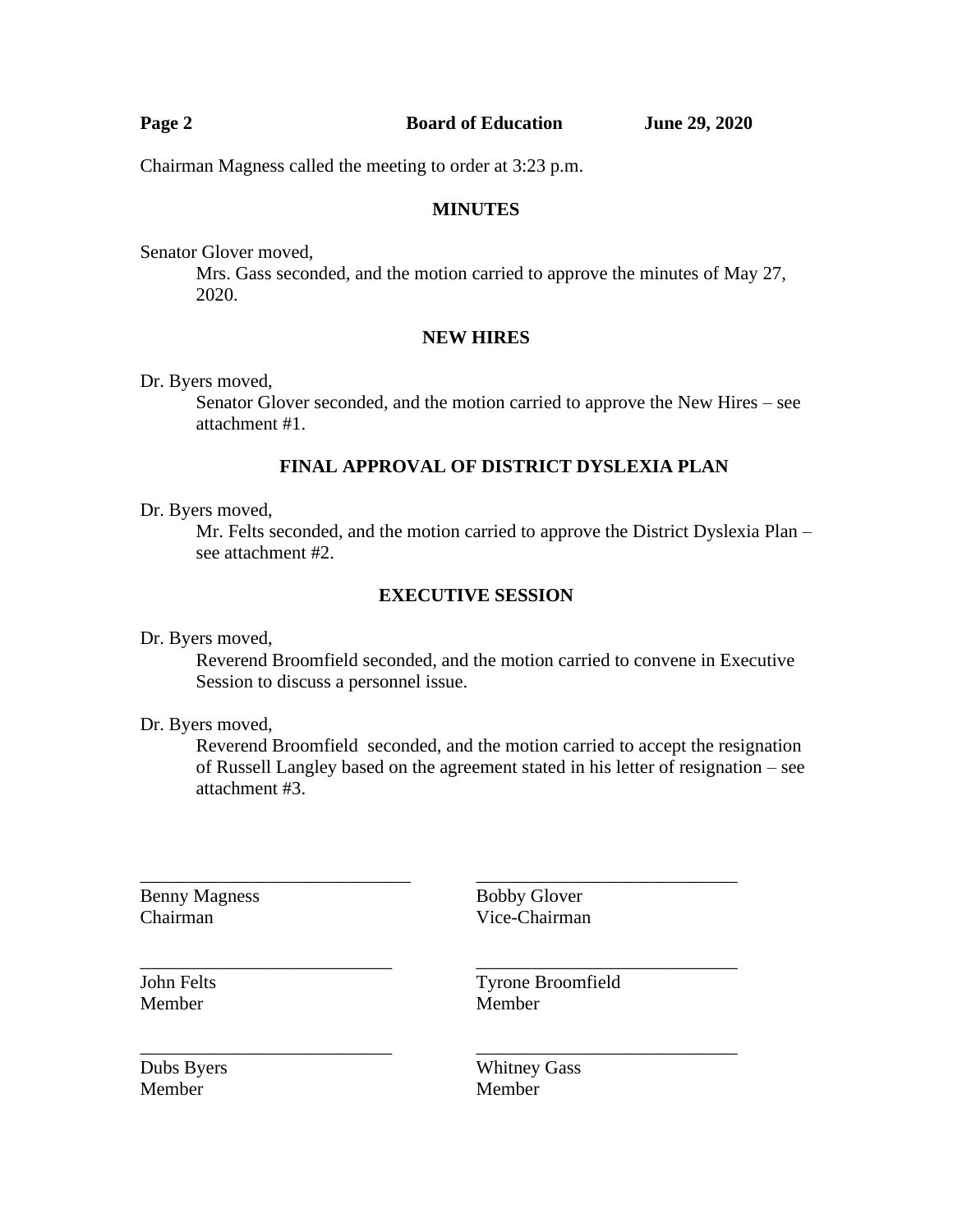| Page 2                                                    | <b>Board of Education</b> | <b>June 29, 2020</b> |
|-----------------------------------------------------------|---------------------------|----------------------|
| Chairman Magness called the meeting to order at 3:23 p.m. |                           |                      |

#### **MINUTES**

Senator Glover moved,

Mrs. Gass seconded, and the motion carried to approve the minutes of May 27, 2020.

## **NEW HIRES**

Dr. Byers moved,

Senator Glover seconded, and the motion carried to approve the New Hires – see attachment #1.

## **FINAL APPROVAL OF DISTRICT DYSLEXIA PLAN**

Dr. Byers moved,

Mr. Felts seconded, and the motion carried to approve the District Dyslexia Plan – see attachment #2.

#### **EXECUTIVE SESSION**

Dr. Byers moved,

Reverend Broomfield seconded, and the motion carried to convene in Executive Session to discuss a personnel issue.

Dr. Byers moved,

Reverend Broomfield seconded, and the motion carried to accept the resignation of Russell Langley based on the agreement stated in his letter of resignation – see attachment #3.

\_\_\_\_\_\_\_\_\_\_\_\_\_\_\_\_\_\_\_\_\_\_\_\_\_\_\_ \_\_\_\_\_\_\_\_\_\_\_\_\_\_\_\_\_\_\_\_\_\_\_\_\_\_\_\_

\_\_\_\_\_\_\_\_\_\_\_\_\_\_\_\_\_\_\_\_\_\_\_\_\_\_\_ \_\_\_\_\_\_\_\_\_\_\_\_\_\_\_\_\_\_\_\_\_\_\_\_\_\_\_\_

Benny Magness Bobby Glover

\_\_\_\_\_\_\_\_\_\_\_\_\_\_\_\_\_\_\_\_\_\_\_\_\_\_\_\_\_ \_\_\_\_\_\_\_\_\_\_\_\_\_\_\_\_\_\_\_\_\_\_\_\_\_\_\_\_ Chairman Vice-Chairman

Member Member

John Felts Tyrone Broomfield

Member Member

Dubs Byers Whitney Gass